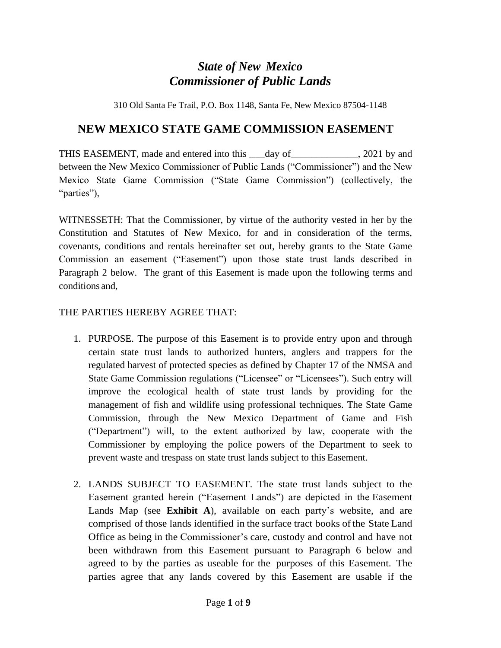# *State of New Mexico Commissioner of Public Lands*

310 Old Santa Fe Trail, P.O. Box 1148, Santa Fe, New Mexico 87504-1148

## **NEW MEXICO STATE GAME COMMISSION EASEMENT**

THIS EASEMENT, made and entered into this \_\_\_\_day of \_\_\_\_\_\_\_\_\_\_\_\_, 2021 by and between the New Mexico Commissioner of Public Lands ("Commissioner") and the New Mexico State Game Commission ("State Game Commission") (collectively, the "parties"),

WITNESSETH: That the Commissioner, by virtue of the authority vested in her by the Constitution and Statutes of New Mexico, for and in consideration of the terms, covenants, conditions and rentals hereinafter set out, hereby grants to the State Game Commission an easement ("Easement") upon those state trust lands described in Paragraph 2 below. The grant of this Easement is made upon the following terms and conditions and,

#### THE PARTIES HEREBY AGREE THAT:

- 1. PURPOSE. The purpose of this Easement is to provide entry upon and through certain state trust lands to authorized hunters, anglers and trappers for the regulated harvest of protected species as defined by Chapter 17 of the NMSA and State Game Commission regulations ("Licensee" or "Licensees"). Such entry will improve the ecological health of state trust lands by providing for the management of fish and wildlife using professional techniques. The State Game Commission, through the New Mexico Department of Game and Fish ("Department") will, to the extent authorized by law, cooperate with the Commissioner by employing the police powers of the Department to seek to prevent waste and trespass on state trust lands subject to this Easement.
- 2. LANDS SUBJECT TO EASEMENT. The state trust lands subject to the Easement granted herein ("Easement Lands") are depicted in the Easement Lands Map (see **Exhibit A**), available on each party's website, and are comprised of those lands identified in the surface tract books ofthe State Land Office as being in the Commissioner's care, custody and control and have not been withdrawn from this Easement pursuant to Paragraph 6 below and agreed to by the parties as useable for the purposes of this Easement. The parties agree that any lands covered by this Easement are usable if the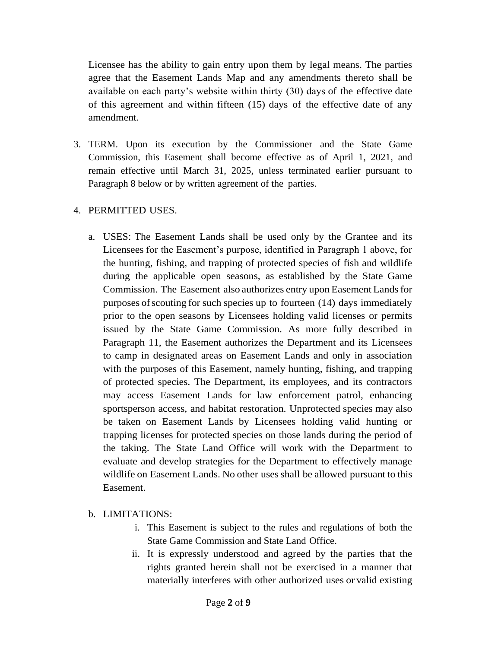Licensee has the ability to gain entry upon them by legal means. The parties agree that the Easement Lands Map and any amendments thereto shall be available on each party's website within thirty (30) days of the effective date of this agreement and within fifteen (15) days of the effective date of any amendment.

3. TERM. Upon its execution by the Commissioner and the State Game Commission, this Easement shall become effective as of April 1, 2021, and remain effective until March 31, 2025, unless terminated earlier pursuant to Paragraph 8 below or by written agreement of the parties.

#### 4. PERMITTED USES.

a. USES: The Easement Lands shall be used only by the Grantee and its Licensees for the Easement's purpose, identified in Paragraph 1 above, for the hunting, fishing, and trapping of protected species of fish and wildlife during the applicable open seasons, as established by the State Game Commission. The Easement also authorizes entry upon Easement Landsfor purposes ofscouting for such species up to fourteen (14) days immediately prior to the open seasons by Licensees holding valid licenses or permits issued by the State Game Commission. As more fully described in Paragraph 11, the Easement authorizes the Department and its Licensees to camp in designated areas on Easement Lands and only in association with the purposes of this Easement, namely hunting, fishing, and trapping of protected species. The Department, its employees, and its contractors may access Easement Lands for law enforcement patrol, enhancing sportsperson access, and habitat restoration. Unprotected species may also be taken on Easement Lands by Licensees holding valid hunting or trapping licenses for protected species on those lands during the period of the taking. The State Land Office will work with the Department to evaluate and develop strategies for the Department to effectively manage wildlife on Easement Lands. No other uses shall be allowed pursuant to this Easement.

#### b. LIMITATIONS:

- i. This Easement is subject to the rules and regulations of both the State Game Commission and State Land Office.
- ii. It is expressly understood and agreed by the parties that the rights granted herein shall not be exercised in a manner that materially interferes with other authorized uses or valid existing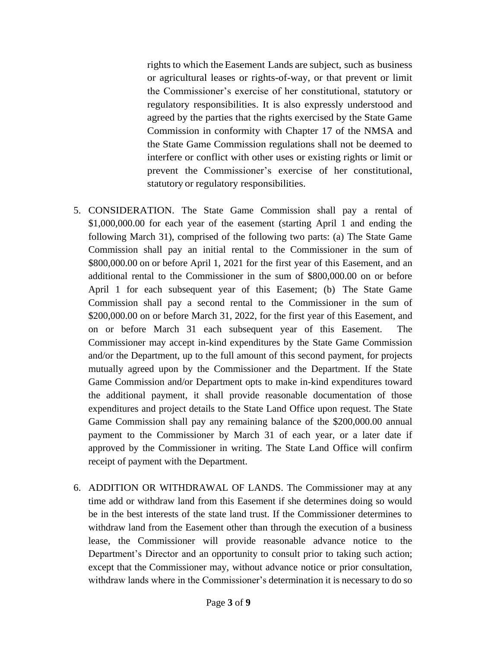rights to which the Easement Lands are subject, such as business or agricultural leases or rights-of-way, or that prevent or limit the Commissioner's exercise of her constitutional, statutory or regulatory responsibilities. It is also expressly understood and agreed by the parties that the rights exercised by the State Game Commission in conformity with Chapter 17 of the NMSA and the State Game Commission regulations shall not be deemed to interfere or conflict with other uses or existing rights or limit or prevent the Commissioner's exercise of her constitutional, statutory or regulatory responsibilities.

- 5. CONSIDERATION. The State Game Commission shall pay a rental of \$1,000,000.00 for each year of the easement (starting April 1 and ending the following March 31), comprised of the following two parts: (a) The State Game Commission shall pay an initial rental to the Commissioner in the sum of \$800,000.00 on or before April 1, 2021 for the first year of this Easement, and an additional rental to the Commissioner in the sum of \$800,000.00 on or before April 1 for each subsequent year of this Easement; (b) The State Game Commission shall pay a second rental to the Commissioner in the sum of \$200,000.00 on or before March 31, 2022, for the first year of this Easement, and on or before March 31 each subsequent year of this Easement. The Commissioner may accept in-kind expenditures by the State Game Commission and/or the Department, up to the full amount of this second payment, for projects mutually agreed upon by the Commissioner and the Department. If the State Game Commission and/or Department opts to make in-kind expenditures toward the additional payment, it shall provide reasonable documentation of those expenditures and project details to the State Land Office upon request. The State Game Commission shall pay any remaining balance of the \$200,000.00 annual payment to the Commissioner by March 31 of each year, or a later date if approved by the Commissioner in writing. The State Land Office will confirm receipt of payment with the Department.
- 6. ADDITION OR WITHDRAWAL OF LANDS. The Commissioner may at any time add or withdraw land from this Easement if she determines doing so would be in the best interests of the state land trust. If the Commissioner determines to withdraw land from the Easement other than through the execution of a business lease, the Commissioner will provide reasonable advance notice to the Department's Director and an opportunity to consult prior to taking such action; except that the Commissioner may, without advance notice or prior consultation, withdraw lands where in the Commissioner's determination it is necessary to do so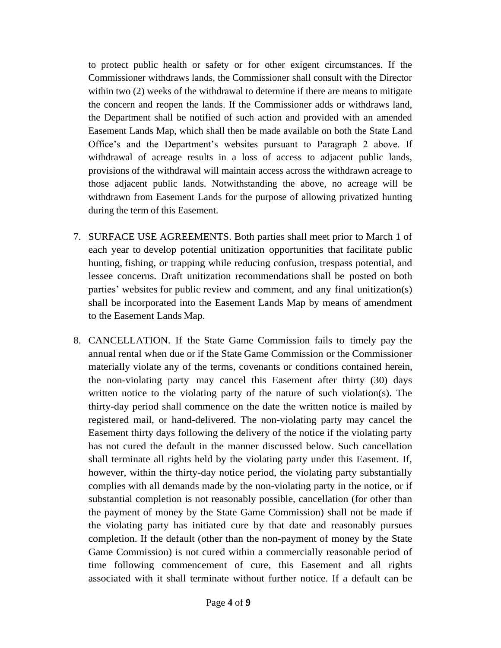to protect public health or safety or for other exigent circumstances. If the Commissioner withdraws lands, the Commissioner shall consult with the Director within two (2) weeks of the withdrawal to determine if there are means to mitigate the concern and reopen the lands. If the Commissioner adds or withdraws land, the Department shall be notified of such action and provided with an amended Easement Lands Map, which shall then be made available on both the State Land Office's and the Department's websites pursuant to Paragraph 2 above. If withdrawal of acreage results in a loss of access to adjacent public lands, provisions of the withdrawal will maintain access across the withdrawn acreage to those adjacent public lands. Notwithstanding the above, no acreage will be withdrawn from Easement Lands for the purpose of allowing privatized hunting during the term of this Easement.

- 7. SURFACE USE AGREEMENTS. Both parties shall meet prior to March 1 of each year to develop potential unitization opportunities that facilitate public hunting, fishing, or trapping while reducing confusion, trespass potential, and lessee concerns. Draft unitization recommendations shall be posted on both parties' websites for public review and comment, and any final unitization(s) shall be incorporated into the Easement Lands Map by means of amendment to the Easement Lands Map.
- 8. CANCELLATION. If the State Game Commission fails to timely pay the annual rental when due or if the State Game Commission or the Commissioner materially violate any of the terms, covenants or conditions contained herein, the non-violating party may cancel this Easement after thirty (30) days written notice to the violating party of the nature of such violation(s). The thirty-day period shall commence on the date the written notice is mailed by registered mail, or hand-delivered. The non-violating party may cancel the Easement thirty days following the delivery of the notice if the violating party has not cured the default in the manner discussed below. Such cancellation shall terminate all rights held by the violating party under this Easement. If, however, within the thirty-day notice period, the violating party substantially complies with all demands made by the non-violating party in the notice, or if substantial completion is not reasonably possible, cancellation (for other than the payment of money by the State Game Commission) shall not be made if the violating party has initiated cure by that date and reasonably pursues completion. If the default (other than the non-payment of money by the State Game Commission) is not cured within a commercially reasonable period of time following commencement of cure, this Easement and all rights associated with it shall terminate without further notice. If a default can be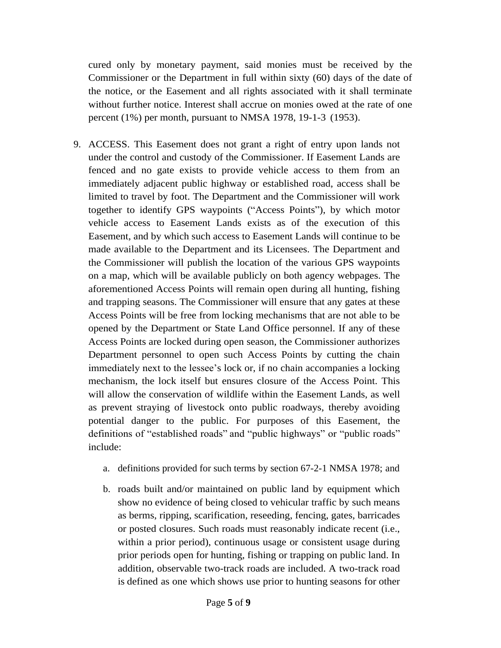cured only by monetary payment, said monies must be received by the Commissioner or the Department in full within sixty (60) days of the date of the notice, or the Easement and all rights associated with it shall terminate without further notice. Interest shall accrue on monies owed at the rate of one percent (1%) per month, pursuant to NMSA 1978, 19-1-3 (1953).

- 9. ACCESS. This Easement does not grant a right of entry upon lands not under the control and custody of the Commissioner. If Easement Lands are fenced and no gate exists to provide vehicle access to them from an immediately adjacent public highway or established road, access shall be limited to travel by foot. The Department and the Commissioner will work together to identify GPS waypoints ("Access Points"), by which motor vehicle access to Easement Lands exists as of the execution of this Easement, and by which such access to Easement Lands will continue to be made available to the Department and its Licensees. The Department and the Commissioner will publish the location of the various GPS waypoints on a map, which will be available publicly on both agency webpages. The aforementioned Access Points will remain open during all hunting, fishing and trapping seasons. The Commissioner will ensure that any gates at these Access Points will be free from locking mechanisms that are not able to be opened by the Department or State Land Office personnel. If any of these Access Points are locked during open season, the Commissioner authorizes Department personnel to open such Access Points by cutting the chain immediately next to the lessee's lock or, if no chain accompanies a locking mechanism, the lock itself but ensures closure of the Access Point. This will allow the conservation of wildlife within the Easement Lands, as well as prevent straying of livestock onto public roadways, thereby avoiding potential danger to the public. For purposes of this Easement, the definitions of "established roads" and "public highways" or "public roads" include:
	- a. definitions provided for such terms by section 67-2-1 NMSA 1978; and
	- b. roads built and/or maintained on public land by equipment which show no evidence of being closed to vehicular traffic by such means as berms, ripping, scarification, reseeding, fencing, gates, barricades or posted closures. Such roads must reasonably indicate recent (i.e., within a prior period), continuous usage or consistent usage during prior periods open for hunting, fishing or trapping on public land. In addition, observable two-track roads are included. A two-track road is defined as one which shows use prior to hunting seasons for other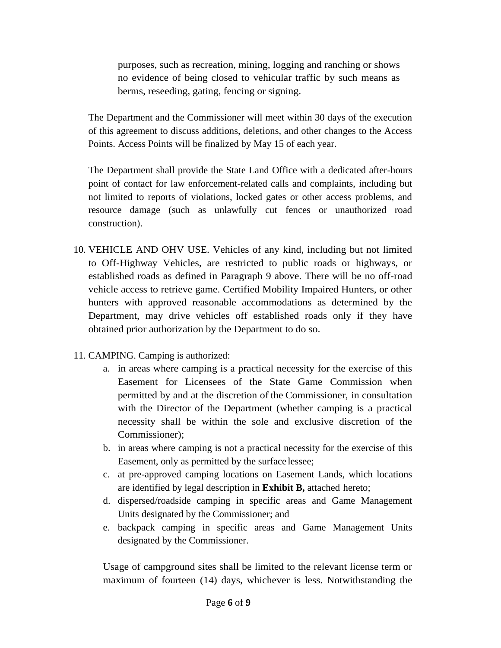purposes, such as recreation, mining, logging and ranching or shows no evidence of being closed to vehicular traffic by such means as berms, reseeding, gating, fencing or signing.

The Department and the Commissioner will meet within 30 days of the execution of this agreement to discuss additions, deletions, and other changes to the Access Points. Access Points will be finalized by May 15 of each year.

The Department shall provide the State Land Office with a dedicated after-hours point of contact for law enforcement-related calls and complaints, including but not limited to reports of violations, locked gates or other access problems, and resource damage (such as unlawfully cut fences or unauthorized road construction).

- 10. VEHICLE AND OHV USE. Vehicles of any kind, including but not limited to Off-Highway Vehicles, are restricted to public roads or highways, or established roads as defined in Paragraph 9 above. There will be no off-road vehicle access to retrieve game. Certified Mobility Impaired Hunters, or other hunters with approved reasonable accommodations as determined by the Department, may drive vehicles off established roads only if they have obtained prior authorization by the Department to do so.
- 11. CAMPING. Camping is authorized:
	- a. in areas where camping is a practical necessity for the exercise of this Easement for Licensees of the State Game Commission when permitted by and at the discretion of the Commissioner, in consultation with the Director of the Department (whether camping is a practical necessity shall be within the sole and exclusive discretion of the Commissioner);
	- b. in areas where camping is not a practical necessity for the exercise of this Easement, only as permitted by the surface lessee;
	- c. at pre-approved camping locations on Easement Lands, which locations are identified by legal description in **Exhibit B,** attached hereto;
	- d. dispersed/roadside camping in specific areas and Game Management Units designated by the Commissioner; and
	- e. backpack camping in specific areas and Game Management Units designated by the Commissioner.

Usage of campground sites shall be limited to the relevant license term or maximum of fourteen (14) days, whichever is less. Notwithstanding the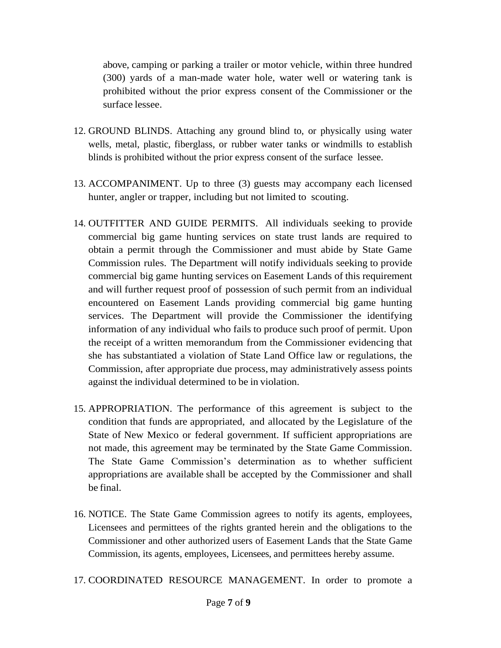above, camping or parking a trailer or motor vehicle, within three hundred (300) yards of a man-made water hole, water well or watering tank is prohibited without the prior express consent of the Commissioner or the surface lessee.

- 12. GROUND BLINDS. Attaching any ground blind to, or physically using water wells, metal, plastic, fiberglass, or rubber water tanks or windmills to establish blinds is prohibited without the prior express consent of the surface lessee.
- 13. ACCOMPANIMENT. Up to three (3) guests may accompany each licensed hunter, angler or trapper, including but not limited to scouting.
- 14. OUTFITTER AND GUIDE PERMITS. All individuals seeking to provide commercial big game hunting services on state trust lands are required to obtain a permit through the Commissioner and must abide by State Game Commission rules. The Department will notify individuals seeking to provide commercial big game hunting services on Easement Lands of this requirement and will further request proof of possession of such permit from an individual encountered on Easement Lands providing commercial big game hunting services. The Department will provide the Commissioner the identifying information of any individual who fails to produce such proof of permit. Upon the receipt of a written memorandum from the Commissioner evidencing that she has substantiated a violation of State Land Office law or regulations, the Commission, after appropriate due process, may administratively assess points against the individual determined to be in violation.
- 15. APPROPRIATION. The performance of this agreement is subject to the condition that funds are appropriated, and allocated by the Legislature of the State of New Mexico or federal government. If sufficient appropriations are not made, this agreement may be terminated by the State Game Commission. The State Game Commission's determination as to whether sufficient appropriations are available shall be accepted by the Commissioner and shall be final.
- 16. NOTICE. The State Game Commission agrees to notify its agents, employees, Licensees and permittees of the rights granted herein and the obligations to the Commissioner and other authorized users of Easement Lands that the State Game Commission, its agents, employees, Licensees, and permittees hereby assume.
- 17. COORDINATED RESOURCE MANAGEMENT. In order to promote a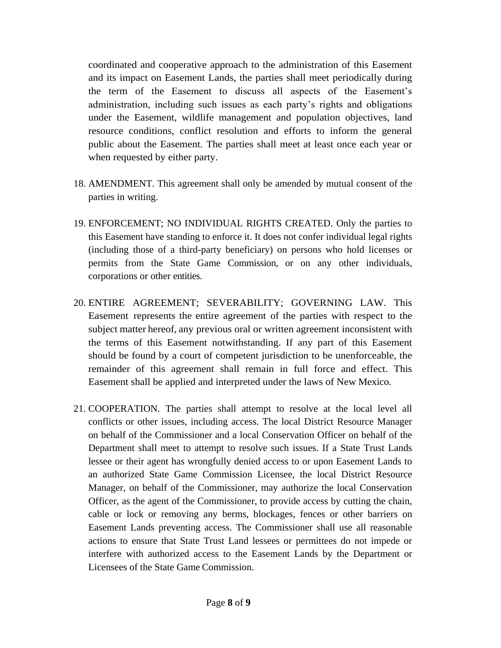coordinated and cooperative approach to the administration of this Easement and its impact on Easement Lands, the parties shall meet periodically during the term of the Easement to discuss all aspects of the Easement's administration, including such issues as each party's rights and obligations under the Easement, wildlife management and population objectives, land resource conditions, conflict resolution and efforts to inform the general public about the Easement. The parties shall meet at least once each year or when requested by either party.

- 18. AMENDMENT. This agreement shall only be amended by mutual consent of the parties in writing.
- 19. ENFORCEMENT; NO INDIVIDUAL RIGHTS CREATED. Only the parties to this Easement have standing to enforce it. It does not confer individual legal rights (including those of a third-party beneficiary) on persons who hold licenses or permits from the State Game Commission, or on any other individuals, corporations or other entities.
- 20. ENTIRE AGREEMENT; SEVERABILITY; GOVERNING LAW. This Easement represents the entire agreement of the parties with respect to the subject matter hereof, any previous oral or written agreement inconsistent with the terms of this Easement notwithstanding. If any part of this Easement should be found by a court of competent jurisdiction to be unenforceable, the remainder of this agreement shall remain in full force and effect. This Easement shall be applied and interpreted under the laws of New Mexico.
- 21. COOPERATION. The parties shall attempt to resolve at the local level all conflicts or other issues, including access. The local District Resource Manager on behalf of the Commissioner and a local Conservation Officer on behalf of the Department shall meet to attempt to resolve such issues. If a State Trust Lands lessee or their agent has wrongfully denied access to or upon Easement Lands to an authorized State Game Commission Licensee, the local District Resource Manager, on behalf of the Commissioner, may authorize the local Conservation Officer, as the agent of the Commissioner, to provide access by cutting the chain, cable or lock or removing any berms, blockages, fences or other barriers on Easement Lands preventing access. The Commissioner shall use all reasonable actions to ensure that State Trust Land lessees or permittees do not impede or interfere with authorized access to the Easement Lands by the Department or Licensees of the State Game Commission.